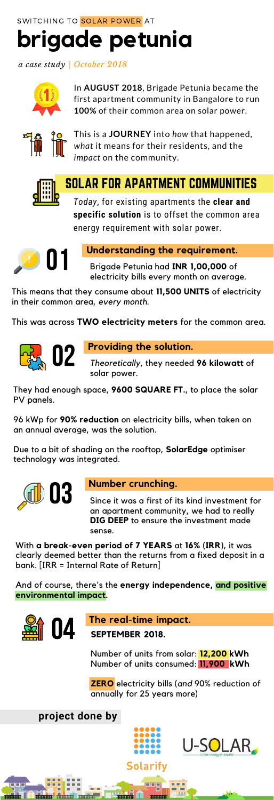# **brigade petunia** SWITCHING TO SOLAR POWER AT

*a case study | October 2018*



In **AUGUST 2018**, Brigade Petunia became the first apartment community in Bangalore to run **100%** of their common area on solar power.



This is a **JOURNEY** into *how* that happened, *what* it means for their residents, and the *impact* on the community.



## SOLAR FOR APARTMENT COMMUNITIES

*Today*, for existing apartments the **clear and specific solution** is to offset the common area energy requirement with solar power.

**project done by** U-SOLAR\_ Solarify muun **THURSE** muun



## **Understanding the requirement.**

Brigade Petunia had **INR 1,00,000** of electricity bills every month on average.



## **Providing the solution.**

*Theoretically*, they needed **96 kilowatt** of solar power.



## **Number crunching.**

Since it was a first of its kind investment for an apartment community, we had to really **DIG DEEP** to ensure the investment made sense.



## **The real-time impact.**

This means that they consume about **11,500 UNITS** of electricity in their common area, *every month*.

This was across **TWO electricity meters** for the common area.

They had enough space, **9600 SQUARE FT.**, to place the solar PV panels.

96 kWp for **90% reduction** on electricity bills, when taken on an annual average, was the solution.

Due to a bit of shading on the rooftop, **SolarEdge** optimiser technology was integrated.

With **a break-even period of 7 YEARS** at **16% (IRR)**, it was clearly deemed better than the returns from a fixed deposit in a bank. [IRR = Internal Rate of Return]

And of course, there's the **energy independence, and positive environmental impact.**

**SEPTEMBER 2018.**

Number of units from solar: **12,200 kWh** Number of units consumed: **11,900 kWh**

**ZERO** electricity bills (*and* 90% reduction of annually for 25 years more)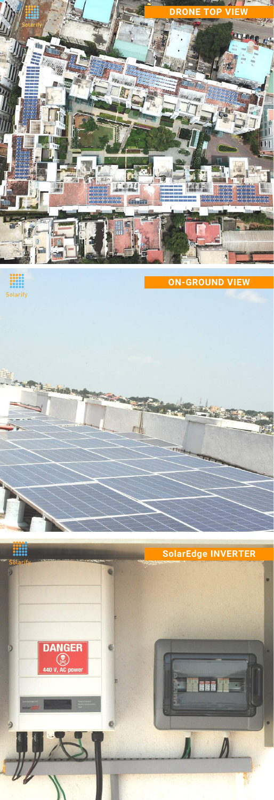

 $\begin{array}{l} \textcolor{red}{\textbf{0000}} \textcolor{red}{\textbf{000}} \textcolor{red}{\textbf{000}} \textcolor{red}{\textbf{000}} \textcolor{red}{\textbf{000}} \textcolor{red}{\textbf{000}} \textcolor{red}{\textbf{000}} \textcolor{red}{\textbf{000}} \textcolor{red}{\textbf{000}} \textcolor{red}{\textbf{000}} \textcolor{red}{\textbf{000}} \textcolor{red}{\textbf{000}} \textcolor{red}{\textbf{000}} \textcolor{red}{\textbf{000}} \textcolor{red}{\textbf{000}} \textcolor$ Solarify

<mark>Sol</mark>a

e tanto

**ON-GROUND VIEW**

## **SolarEdge INVERTER**

 $T11 - 4$ 

744